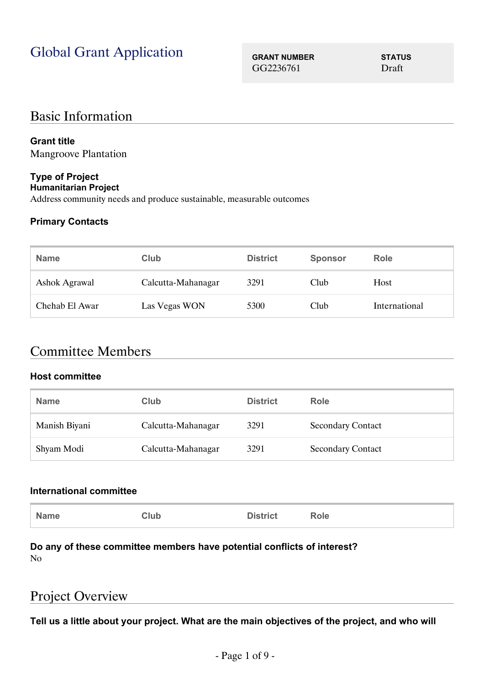# Global Grant Application **GRANT NUMBER STATUS**

GG2236761 Draft

## Basic Information

### **Grant title**

Mangroove Plantation

#### **Type of Project Humanitarian Project**

Address community needs and produce sustainable, measurable outcomes

### **Primary Contacts**

| <b>Name</b>          | Club               | <b>District</b> | <b>Sponsor</b> | <b>Role</b>   |
|----------------------|--------------------|-----------------|----------------|---------------|
| <b>Ashok Agrawal</b> | Calcutta-Mahanagar | 3291            | Club           | Host          |
| Chehab El Awar       | Las Vegas WON      | 5300            | Club           | International |

## Committee Members

#### **Host committee**

| <b>Name</b>   | Club               | <b>District</b> | Role                     |
|---------------|--------------------|-----------------|--------------------------|
| Manish Biyani | Calcutta-Mahanagar | 3291            | <b>Secondary Contact</b> |
| Shyam Modi    | Calcutta-Mahanagar | 3291            | <b>Secondary Contact</b> |

#### **International committee**

|--|

#### **Do any of these committee members have potential conflicts of interest?** No

## Project Overview

**Tell us a little about your project. What are the main objectives of the project, and who will**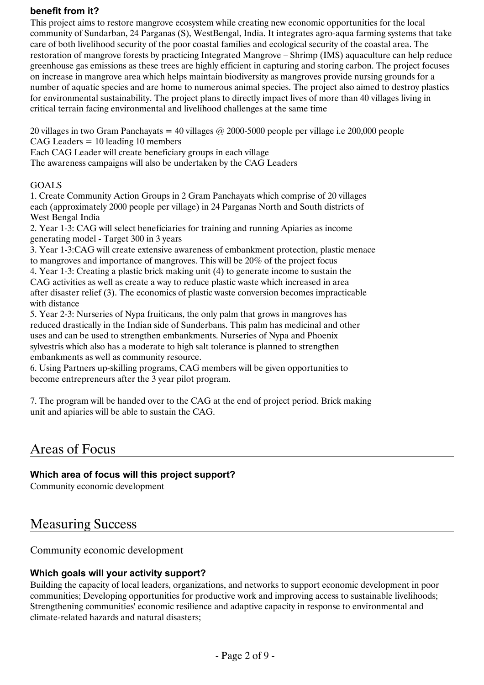#### **benefit from it?**

This project aims to restore mangrove ecosystem while creating new economic opportunities for the local community of Sundarban, 24 Parganas (S), WestBengal, India. It integrates agro-aqua farming systems that take care of both livelihood security of the poor coastal families and ecological security of the coastal area. The restoration of mangrove forests by practicing Integrated Mangrove – Shrimp (IMS) aquaculture can help reduce greenhouse gas emissions as these trees are highly efficient in capturing and storing carbon. The project focuses on increase in mangrove area which helps maintain biodiversity as mangroves provide nursing grounds for a number of aquatic species and are home to numerous animal species. The project also aimed to destroy plastics for environmental sustainability. The project plans to directly impact lives of more than 40 villages living in critical terrain facing environmental and livelihood challenges at the same time

20 villages in two Gram Panchayats = 40 villages  $\omega$  2000-5000 people per village i.e 200,000 people CAG Leaders = 10 leading 10 members

Each CAG Leader will create beneficiary groups in each village The awareness campaigns will also be undertaken by the CAG Leaders

#### GOALS

1. Create Community Action Groups in 2 Gram Panchayats which comprise of 20 villages each (approximately 2000 people per village) in 24 Parganas North and South districts of West Bengal India

2. Year 1-3: CAG will select beneficiaries for training and running Apiaries as income generating model - Target 300 in 3 years

3. Year 1-3:CAG will create extensive awareness of embankment protection, plastic menace to mangroves and importance of mangroves. This will be 20% of the project focus

4. Year 1-3: Creating a plastic brick making unit (4) to generate income to sustain the CAG activities as well as create a way to reduce plastic waste which increased in area after disaster relief (3). The economics of plastic waste conversion becomes impracticable with distance

5. Year 2-3: Nurseries of Nypa fruiticans, the only palm that grows in mangroves has reduced drastically in the Indian side of Sunderbans. This palm has medicinal and other uses and can be used to strengthen embankments. Nurseries of Nypa and Phoenix sylvestris which also has a moderate to high salt tolerance is planned to strengthen embankments as well as community resource.

6. Using Partners up-skilling programs, CAG members will be given opportunities to become entrepreneurs after the 3 year pilot program.

7. The program will be handed over to the CAG at the end of project period. Brick making unit and apiaries will be able to sustain the CAG.

## Areas of Focus

### **Which area of focus will this project support?**

Community economic development

## Measuring Success

Community economic development

### **Which goals will your activity support?**

Building the capacity of local leaders, organizations, and networks to support economic development in poor communities; Developing opportunities for productive work and improving access to sustainable livelihoods; Strengthening communities' economic resilience and adaptive capacity in response to environmental and climate-related hazards and natural disasters;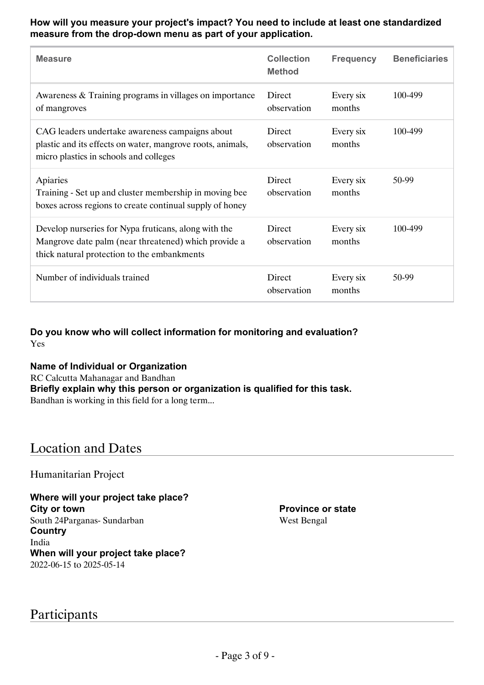**How will you measure your project's impact? You need to include at least one standardized measure from the drop-down menu as part of your application.**

| <b>Measure</b>                                                                                                                                              | <b>Collection</b><br><b>Method</b> | <b>Frequency</b>    | <b>Beneficiaries</b> |
|-------------------------------------------------------------------------------------------------------------------------------------------------------------|------------------------------------|---------------------|----------------------|
| Awareness & Training programs in villages on importance<br>of mangroves                                                                                     | Direct<br>observation              | Every six<br>months | 100-499              |
| CAG leaders undertake awareness campaigns about<br>plastic and its effects on water, mangrove roots, animals,<br>micro plastics in schools and colleges     | Direct<br>observation              | Every six<br>months | 100-499              |
| Apiaries<br>Training - Set up and cluster membership in moving bee<br>boxes across regions to create continual supply of honey                              | Direct<br>observation              | Every six<br>months | 50-99                |
| Develop nurseries for Nypa fruticans, along with the<br>Mangrove date palm (near threatened) which provide a<br>thick natural protection to the embankments | Direct<br>observation              | Every six<br>months | 100-499              |
| Number of individuals trained                                                                                                                               | Direct<br>observation              | Every six<br>months | 50-99                |

**Do you know who will collect information for monitoring and evaluation?** Yes

**Name of Individual or Organization** RC Calcutta Mahanagar and Bandhan **Briefly explain why this person or organization is qualified for this task.** Bandhan is working in this field for a long term...

## Location and Dates

Humanitarian Project

**Where will your project take place? City or town** South 24Parganas- Sundarban **Country** India **When will your project take place?** 2022-06-15 to 2025-05-14

Participants

**Province or state** West Bengal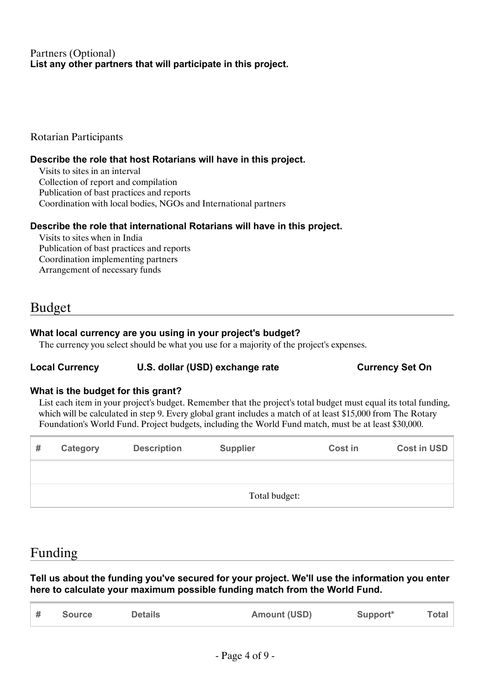### Partners (Optional) **List any other partners that will participate in this project.**

Rotarian Participants

### **Describe the role that host Rotarians will have in this project.**

Visits to sites in an interval Collection of report and compilation Publication of bast practices and reports Coordination with local bodies, NGOs and International partners

#### **Describe the role that international Rotarians will have in this project.**

Visits to sites when in India Publication of bast practices and reports Coordination implementing partners Arrangement of necessary funds

## Budget

#### **What local currency are you using in your project's budget?**

The currency you select should be what you use for a majority of the project's expenses.

### Local Currency **U.S. dollar (USD) exchange rate Currency Set On**

#### **What is the budget for this grant?**

List each item in your project's budget. Remember that the project's total budget must equal its total funding, which will be calculated in step 9. Every global grant includes a match of at least \$15,000 from The Rotary Foundation's World Fund. Project budgets, including the World Fund match, must be at least \$30,000.

| # | Category      | <b>Description</b> | <b>Supplier</b> | <b>Cost in</b> | Cost in USD |
|---|---------------|--------------------|-----------------|----------------|-------------|
|   |               |                    |                 |                |             |
|   | Total budget: |                    |                 |                |             |

## Funding

**Tell us about the funding you've secured for your project. We'll use the information you enter here to calculate your maximum possible funding match from the World Fund.**

|  | <b>Source</b> | <b>Details</b> | <b>Amount (USD)</b> | Support* | <b>Total</b> |
|--|---------------|----------------|---------------------|----------|--------------|
|--|---------------|----------------|---------------------|----------|--------------|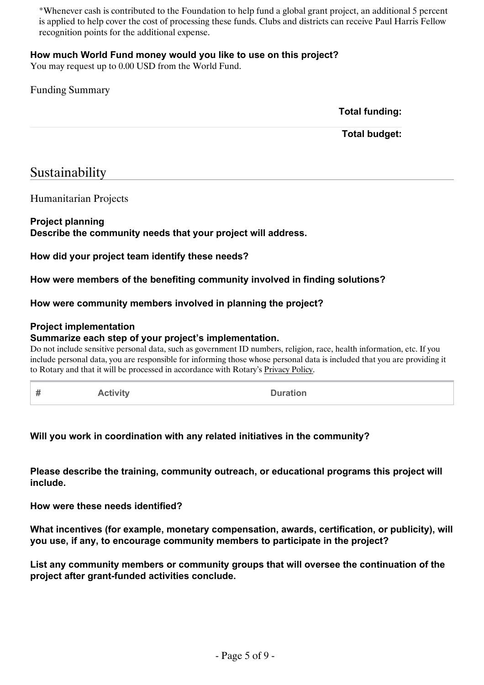\*Whenever cash is contributed to the Foundation to help fund a global grant project, an additional 5 percent is applied to help cover the cost of processing these funds. Clubs and districts can receive Paul Harris Fellow recognition points for the additional expense.

#### **How much World Fund money would you like to use on this project?**

You may request up to 0.00 USD from the World Fund.

### Funding Summary

**Total funding:**

**Total budget:**

## Sustainability

Humanitarian Projects

#### **Project planning**

**Describe the community needs that your project will address.**

**How did your project team identify these needs?**

**How were members of the benefiting community involved in finding solutions?**

**How were community members involved in planning the project?**

#### **Project implementation**

#### **Summarize each step of your project's implementation.**

Do not include sensitive personal data, such as government ID numbers, religion, race, health information, etc. If you include personal data, you are responsible for informing those whose personal data is included that you are providing it to Rotary and that it will be processed in accordance with Rotary's [Privacy Policy](https://my.rotary.org/en/privacy-policy).

| #<br><b>Activity</b><br><b>Duration</b> |  |
|-----------------------------------------|--|
|-----------------------------------------|--|

#### **Will you work in coordination with any related initiatives in the community?**

**Please describe the training, community outreach, or educational programs this project will include.**

**How were these needs identified?**

**What incentives (for example, monetary compensation, awards, certification, or publicity), will you use, if any, to encourage community members to participate in the project?**

**List any community members or community groups that will oversee the continuation of the project after grant-funded activities conclude.**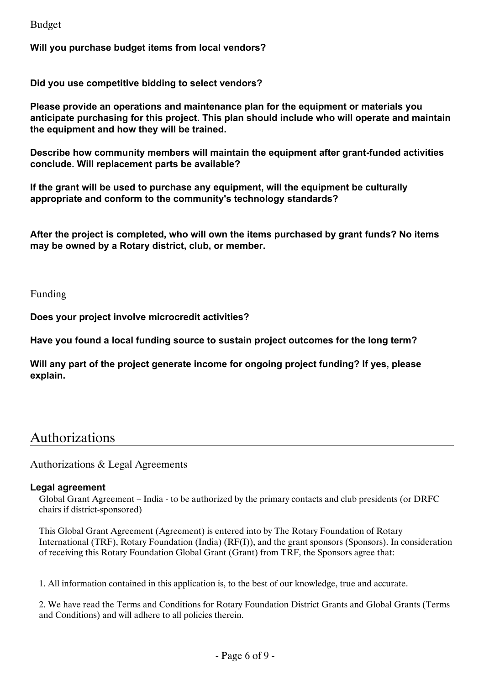Budget

**Will you purchase budget items from local vendors?**

**Did you use competitive bidding to select vendors?**

**Please provide an operations and maintenance plan for the equipment or materials you anticipate purchasing for this project. This plan should include who will operate and maintain the equipment and how they will be trained.**

**Describe how community members will maintain the equipment after grant-funded activities conclude. Will replacement parts be available?**

**If the grant will be used to purchase any equipment, will the equipment be culturally appropriate and conform to the community's technology standards?**

**After the project is completed, who will own the items purchased by grant funds? No items may be owned by a Rotary district, club, or member.**

Funding

**Does your project involve microcredit activities?**

**Have you found a local funding source to sustain project outcomes for the long term?**

**Will any part of the project generate income for ongoing project funding? If yes, please explain.**

## Authorizations

Authorizations & Legal Agreements

#### **Legal agreement**

Global Grant Agreement – India - to be authorized by the primary contacts and club presidents (or DRFC chairs if district-sponsored)

This Global Grant Agreement (Agreement) is entered into by The Rotary Foundation of Rotary International (TRF), Rotary Foundation (India) (RF(I)), and the grant sponsors (Sponsors). In consideration of receiving this Rotary Foundation Global Grant (Grant) from TRF, the Sponsors agree that:

1. All information contained in this application is, to the best of our knowledge, true and accurate.

2. We have read the Terms and Conditions for Rotary Foundation District Grants and Global Grants (Terms and Conditions) and will adhere to all policies therein.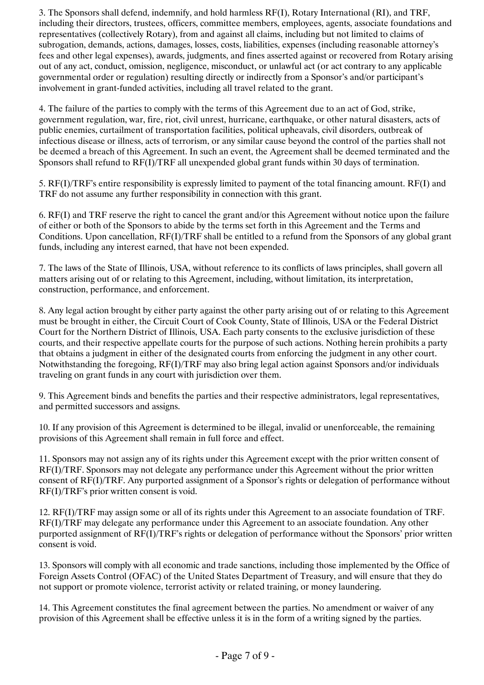3. The Sponsors shall defend, indemnify, and hold harmless RF(I), Rotary International (RI), and TRF, including their directors, trustees, officers, committee members, employees, agents, associate foundations and representatives (collectively Rotary), from and against all claims, including but not limited to claims of subrogation, demands, actions, damages, losses, costs, liabilities, expenses (including reasonable attorney's fees and other legal expenses), awards, judgments, and fines asserted against or recovered from Rotary arising out of any act, conduct, omission, negligence, misconduct, or unlawful act (or act contrary to any applicable governmental order or regulation) resulting directly or indirectly from a Sponsor's and/or participant's involvement in grant-funded activities, including all travel related to the grant.

4. The failure of the parties to comply with the terms of this Agreement due to an act of God, strike, government regulation, war, fire, riot, civil unrest, hurricane, earthquake, or other natural disasters, acts of public enemies, curtailment of transportation facilities, political upheavals, civil disorders, outbreak of infectious disease or illness, acts of terrorism, or any similar cause beyond the control of the parties shall not be deemed a breach of this Agreement. In such an event, the Agreement shall be deemed terminated and the Sponsors shall refund to RF(I)/TRF all unexpended global grant funds within 30 days of termination.

5. RF(I)/TRF's entire responsibility is expressly limited to payment of the total financing amount. RF(I) and TRF do not assume any further responsibility in connection with this grant.

6. RF(I) and TRF reserve the right to cancel the grant and/or this Agreement without notice upon the failure of either or both of the Sponsors to abide by the terms set forth in this Agreement and the Terms and Conditions. Upon cancellation, RF(I)/TRF shall be entitled to a refund from the Sponsors of any global grant funds, including any interest earned, that have not been expended.

7. The laws of the State of Illinois, USA, without reference to its conflicts of laws principles, shall govern all matters arising out of or relating to this Agreement, including, without limitation, its interpretation, construction, performance, and enforcement.

8. Any legal action brought by either party against the other party arising out of or relating to this Agreement must be brought in either, the Circuit Court of Cook County, State of Illinois, USA or the Federal District Court for the Northern District of Illinois, USA. Each party consents to the exclusive jurisdiction of these courts, and their respective appellate courts for the purpose of such actions. Nothing herein prohibits a party that obtains a judgment in either of the designated courts from enforcing the judgment in any other court. Notwithstanding the foregoing, RF(I)/TRF may also bring legal action against Sponsors and/or individuals traveling on grant funds in any court with jurisdiction over them.

9. This Agreement binds and benefits the parties and their respective administrators, legal representatives, and permitted successors and assigns.

10. If any provision of this Agreement is determined to be illegal, invalid or unenforceable, the remaining provisions of this Agreement shall remain in full force and effect.

11. Sponsors may not assign any of its rights under this Agreement except with the prior written consent of RF(I)/TRF. Sponsors may not delegate any performance under this Agreement without the prior written consent of RF(I)/TRF. Any purported assignment of a Sponsor's rights or delegation of performance without RF(I)/TRF's prior written consent is void.

12. RF(I)/TRF may assign some or all of its rights under this Agreement to an associate foundation of TRF. RF(I)/TRF may delegate any performance under this Agreement to an associate foundation. Any other purported assignment of RF(I)/TRF's rights or delegation of performance without the Sponsors' prior written consent is void.

13. Sponsors will comply with all economic and trade sanctions, including those implemented by the Office of Foreign Assets Control (OFAC) of the United States Department of Treasury, and will ensure that they do not support or promote violence, terrorist activity or related training, or money laundering.

14. This Agreement constitutes the final agreement between the parties. No amendment or waiver of any provision of this Agreement shall be effective unless it is in the form of a writing signed by the parties.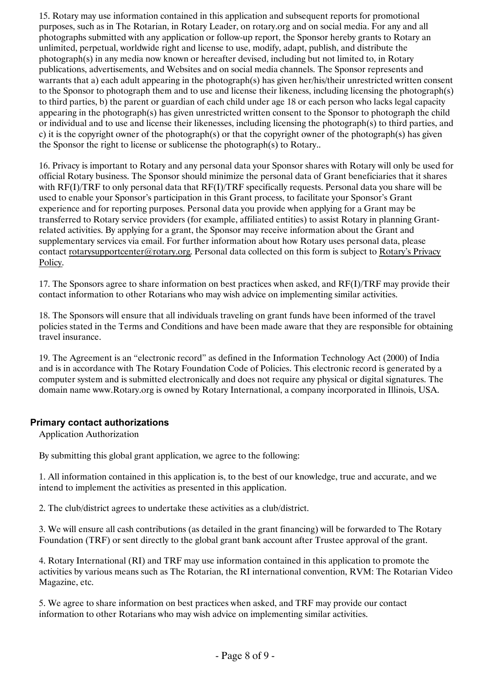15. Rotary may use information contained in this application and subsequent reports for promotional purposes, such as in The Rotarian, in Rotary Leader, on rotary.org and on social media. For any and all photographs submitted with any application or follow-up report, the Sponsor hereby grants to Rotary an unlimited, perpetual, worldwide right and license to use, modify, adapt, publish, and distribute the photograph(s) in any media now known or hereafter devised, including but not limited to, in Rotary publications, advertisements, and Websites and on social media channels. The Sponsor represents and warrants that a) each adult appearing in the photograph(s) has given her/his/their unrestricted written consent to the Sponsor to photograph them and to use and license their likeness, including licensing the photograph(s) to third parties, b) the parent or guardian of each child under age 18 or each person who lacks legal capacity appearing in the photograph(s) has given unrestricted written consent to the Sponsor to photograph the child or individual and to use and license their likenesses, including licensing the photograph(s) to third parties, and c) it is the copyright owner of the photograph(s) or that the copyright owner of the photograph(s) has given the Sponsor the right to license or sublicense the photograph(s) to Rotary..

16. Privacy is important to Rotary and any personal data your Sponsor shares with Rotary will only be used for official Rotary business. The Sponsor should minimize the personal data of Grant beneficiaries that it shares with RF(I)/TRF to only personal data that RF(I)/TRF specifically requests. Personal data you share will be used to enable your Sponsor's participation in this Grant process, to facilitate your Sponsor's Grant experience and for reporting purposes. Personal data you provide when applying for a Grant may be transferred to Rotary service providers (for example, affiliated entities) to assist Rotary in planning Grantrelated activities. By applying for a grant, the Sponsor may receive information about the Grant and supplementary services via email. For further information about how Rotary uses personal data, please contact [rotarysupportcenter@rotary.org](mailto:rotarysupportcenter@rotary.org). Personal data collected on this form is subject to [Rotary's Privacy](https://my.rotary.org/en/privacy-policy) [Policy](https://my.rotary.org/en/privacy-policy).

17. The Sponsors agree to share information on best practices when asked, and RF(I)/TRF may provide their contact information to other Rotarians who may wish advice on implementing similar activities.

18. The Sponsors will ensure that all individuals traveling on grant funds have been informed of the travel policies stated in the Terms and Conditions and have been made aware that they are responsible for obtaining travel insurance.

19. The Agreement is an "electronic record" as defined in the Information Technology Act (2000) of India and is in accordance with The Rotary Foundation Code of Policies. This electronic record is generated by a computer system and is submitted electronically and does not require any physical or digital signatures. The domain name www.Rotary.org is owned by Rotary International, a company incorporated in Illinois, USA.

#### **Primary contact authorizations**

Application Authorization

By submitting this global grant application, we agree to the following:

1. All information contained in this application is, to the best of our knowledge, true and accurate, and we intend to implement the activities as presented in this application.

2. The club/district agrees to undertake these activities as a club/district.

3. We will ensure all cash contributions (as detailed in the grant financing) will be forwarded to The Rotary Foundation (TRF) or sent directly to the global grant bank account after Trustee approval of the grant.

4. Rotary International (RI) and TRF may use information contained in this application to promote the activities by various means such as The Rotarian, the RI international convention, RVM: The Rotarian Video Magazine, etc.

5. We agree to share information on best practices when asked, and TRF may provide our contact information to other Rotarians who may wish advice on implementing similar activities.